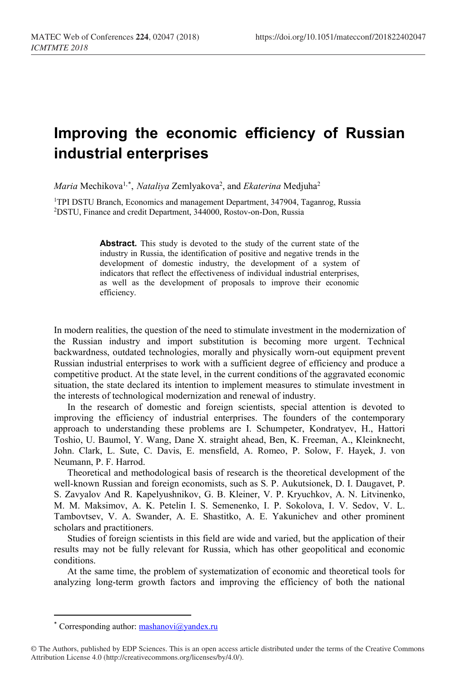## **Improving the economic efficiency of Russian industrial enterprises**

*Maria* Mechikova<sup>1,[\\*](#page-0-0)</sup>, *Nataliya* Zemlyakova<sup>2</sup>, and *Ekaterina* Medjuha<sup>2</sup>

<sup>1</sup>TPI DSTU Branch, Economics and management Department, 347904, Taganrog, Russia 2DSTU, Finance and credit Department, 344000, Rostov-on-Don, Russia

> **Abstract.** This study is devoted to the study of the current state of the industry in Russia, the identification of positive and negative trends in the development of domestic industry, the development of a system of indicators that reflect the effectiveness of individual industrial enterprises, as well as the development of proposals to improve their economic efficiency.

In modern realities, the question of the need to stimulate investment in the modernization of the Russian industry and import substitution is becoming more urgent. Technical backwardness, outdated technologies, morally and physically worn-out equipment prevent Russian industrial enterprises to work with a sufficient degree of efficiency and produce a competitive product. At the state level, in the current conditions of the aggravated economic situation, the state declared its intention to implement measures to stimulate investment in the interests of technological modernization and renewal of industry.

In the research of domestic and foreign scientists, special attention is devoted to improving the efficiency of industrial enterprises. The founders of the contemporary approach to understanding these problems are I. Schumpeter, Kondratyev, H., Hattori Toshio, U. Baumol, Y. Wang, Dane X. straight ahead, Ben, K. Freeman, A., Kleinknecht, John. Clark, L. Sute, C. Davis, E. mensfield, A. Romeo, P. Solow, F. Hayek, J. von Neumann, P. F. Harrod.

Theoretical and methodological basis of research is the theoretical development of the well-known Russian and foreign economists, such as S. P. Aukutsionek, D. I. Daugavet, P. S. Zavyalov And R. Kapelyushnikov, G. B. Kleiner, V. P. Kryuchkov, A. N. Litvinenko, M. M. Maksimov, A. K. Petelin I. S. Semenenko, I. P. Sokolova, I. V. Sedov, V. L. Tambovtsev, V. A. Swander, A. E. Shastitko, A. E. Yakunichev and other prominent scholars and practitioners.

Studies of foreign scientists in this field are wide and varied, but the application of their results may not be fully relevant for Russia, which has other geopolitical and economic conditions.

At the same time, the problem of systematization of economic and theoretical tools for analyzing long-term growth factors and improving the efficiency of both the national

 $\overline{\phantom{a}}$ 

<sup>\*</sup> Corresponding author:  $\text{mask}(\text{a}|\text{y}|\text{and} \text{ex}.\text{ru})$ 

<span id="page-0-0"></span><sup>©</sup> The Authors, published by EDP Sciences. This is an open access article distributed under the terms of the Creative Commons Attribution License 4.0 (http://creativecommons.org/licenses/by/4.0/).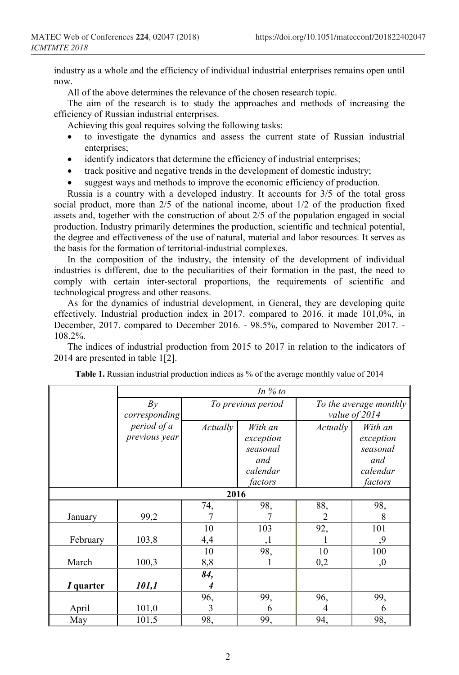industry as a whole and the efficiency of individual industrial enterprises remains open until now.

All of the above determines the relevance of the chosen research topic.

The aim of the research is to study the approaches and methods of increasing the efficiency of Russian industrial enterprises.

Achieving this goal requires solving the following tasks:

- to investigate the dynamics and assess the current state of Russian industrial enterprises;
- identify indicators that determine the efficiency of industrial enterprises;
- track positive and negative trends in the development of domestic industry;
- suggest ways and methods to improve the economic efficiency of production.

Russia is a country with a developed industry. It accounts for 3/5 of the total gross social product, more than 2/5 of the national income, about 1/2 of the production fixed assets and, together with the construction of about 2/5 of the population engaged in social production. Industry primarily determines the production, scientific and technical potential, the degree and effectiveness of the use of natural, material and labor resources. It serves as the basis for the formation of territorial-industrial complexes.

In the composition of the industry, the intensity of the development of individual industries is different, due to the peculiarities of their formation in the past, the need to comply with certain inter-sectoral proportions, the requirements of scientific and technological progress and other reasons.

As for the dynamics of industrial development, in General, they are developing quite effectively. Industrial production index in 2017. compared to 2016. it made 101,0%, in December, 2017. compared to December 2016. - 98.5%, compared to November 2017. - 108.2%.

The indices of industrial production from 2015 to 2017 in relation to the indicators of 2014 are presented in table 1[2].

|           | In $%$ to                    |                    |                                                                |                                         |                                                                |  |
|-----------|------------------------------|--------------------|----------------------------------------------------------------|-----------------------------------------|----------------------------------------------------------------|--|
|           | By<br>corresponding          | To previous period |                                                                | To the average monthly<br>value of 2014 |                                                                |  |
|           | period of a<br>previous year | Actually           | With an<br>exception<br>seasonal<br>and<br>calendar<br>factors | Actually                                | With an<br>exception<br>seasonal<br>and<br>calendar<br>factors |  |
| 2016      |                              |                    |                                                                |                                         |                                                                |  |
|           |                              | 74,                | 98,                                                            | 88,                                     | 98,                                                            |  |
| January   | 99,2                         |                    |                                                                | $\mathfrak{D}$                          | 8                                                              |  |
| February  | 103,8                        | 10<br>4,4          | 103<br>,1                                                      | 92,                                     | 101<br>,9                                                      |  |
|           |                              | 10                 | 98,                                                            | 10                                      | 100                                                            |  |
| March     | 100,3                        | 8,8                |                                                                | 0,2                                     | ,0                                                             |  |
| I quarter | 101,1                        | 84,<br>4           |                                                                |                                         |                                                                |  |
|           |                              | 96,                | 99,                                                            | 96,                                     | 99,                                                            |  |
| April     | 101,0                        | 3                  | 6                                                              | 4                                       | 6                                                              |  |
| May       | 101,5                        | 98,                | 99,                                                            | 94,                                     | 98,                                                            |  |

**Table 1.** Russian industrial production indices as % of the average monthly value of 2014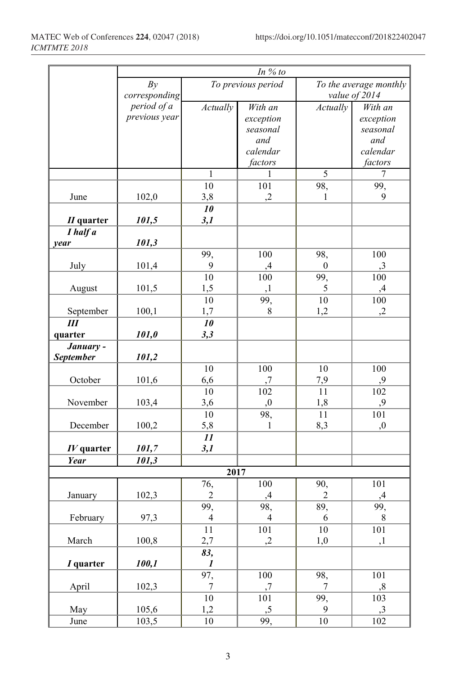|              | In $%$ to     |                    |                |                        |           |  |
|--------------|---------------|--------------------|----------------|------------------------|-----------|--|
|              | By            | To previous period |                | To the average monthly |           |  |
|              | corresponding |                    |                | value of 2014          |           |  |
|              | period of a   | Actually           | With an        | Actually               | With an   |  |
|              | previous year |                    | exception      |                        | exception |  |
|              |               |                    | seasonal       |                        | seasonal  |  |
|              |               |                    | and            |                        | and       |  |
|              |               |                    | calendar       |                        | calendar  |  |
|              |               |                    | factors        |                        | factors   |  |
|              |               | 1                  | 1              | 5                      | 7         |  |
|              |               | 10                 | 101            | 98,                    | 99,       |  |
| June         | 102,0         | 3,8                | ,2             | 1                      | 9         |  |
|              |               | 10                 |                |                        |           |  |
| $II$ quarter | 101,5         | 3,1                |                |                        |           |  |
| I half a     |               |                    |                |                        |           |  |
| year         | 101,3         |                    |                |                        |           |  |
|              |               | 99,                | 100            | 98,                    | 100       |  |
| July         | 101,4         | 9                  | ,4             | $\bf{0}$               | ,3        |  |
|              |               | 10                 | 100            | 99,                    | 100       |  |
| August       | 101,5         | 1,5                | ,1             | 5                      | ,4        |  |
|              |               | 10                 | 99,            | 10                     | 100       |  |
| September    | 100,1         | 1,7                | 8              | 1,2                    | ,2        |  |
| Ш            |               | 10                 |                |                        |           |  |
| quarter      | 101,0         | 3,3                |                |                        |           |  |
| January -    |               |                    |                |                        |           |  |
| September    | 101,2         |                    |                |                        |           |  |
|              |               | 10                 | 100            | 10                     | 100       |  |
| October      | 101,6         | 6,6                | ,7             | 7,9                    | ,9        |  |
|              |               | 10                 | 102            | 11                     | 102       |  |
| November     | 103,4         | 3,6                | ,0             | 1,8                    | ,9        |  |
|              |               | 10                 | 98,            | 11                     | 101       |  |
| December     | 100,2         | 5,8                | 1              | 8,3                    | ,0        |  |
|              |               | 11                 |                |                        |           |  |
| $IV$ quarter | 101,7         | 3,1                |                |                        |           |  |
| Year         | 101,3         |                    |                |                        |           |  |
|              |               | 2017               |                |                        |           |  |
|              |               | 76,                | 100            | 90,                    | 101       |  |
| January      | 102,3         | $\sqrt{2}$         | ,4             | $\sqrt{2}$             | ,4        |  |
|              |               | 99,                | 98,            | 89,                    | 99,       |  |
| February     | 97,3          | $\overline{4}$     | $\overline{4}$ | 6                      | $8\,$     |  |
|              |               | $11\,$             | 101            | 10                     | 101       |  |
| March        | 100,8         | 2,7                | ,2             | 1,0                    | ,1        |  |
|              |               | 83,                |                |                        |           |  |
| I quarter    | 100,1         | $\boldsymbol{l}$   |                |                        |           |  |
|              |               | 97,                | 100            | 98,                    | 101       |  |
| April        | 102,3         | $\tau$             | ,7             | $\tau$                 | ,8        |  |
|              |               | $10\,$             | 101            | 99,                    | 103       |  |
| May          | 105,6         | 1,2                | , 5            | 9                      | ,3        |  |
| June         | 103,5         | $10\,$             | 99,            | $10\,$                 | 102       |  |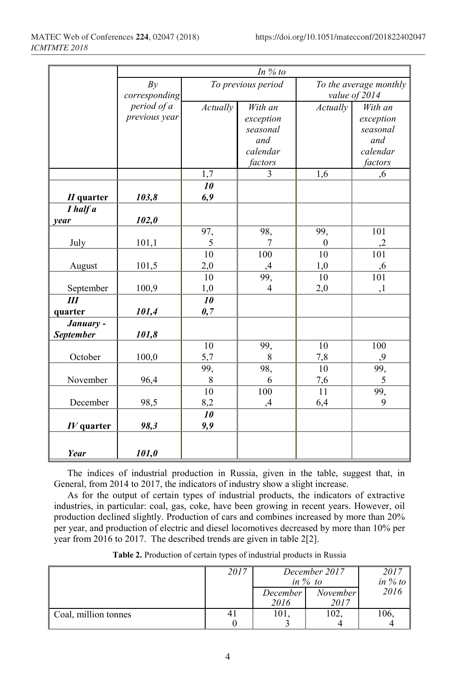|                  | In $%$ to     |                    |                     |                        |           |  |
|------------------|---------------|--------------------|---------------------|------------------------|-----------|--|
|                  | By            | To previous period |                     | To the average monthly |           |  |
|                  | corresponding |                    |                     | value of 2014          |           |  |
|                  | period of a   | Actually           | Actually<br>With an |                        | With an   |  |
|                  | previous year |                    | exception           |                        | exception |  |
|                  |               |                    | seasonal            |                        | seasonal  |  |
|                  |               |                    | and                 |                        | and       |  |
|                  |               |                    | calendar            |                        | calendar  |  |
|                  |               |                    | factors             |                        | factors   |  |
|                  |               | 1,7                | $\overline{3}$      | 1,6                    | ,6        |  |
|                  |               | 10                 |                     |                        |           |  |
| $II$ quarter     | 103,8         | 6,9                |                     |                        |           |  |
| I half a         |               |                    |                     |                        |           |  |
| year             | 102,0         | 97,                | 98,                 | 99,                    | 101       |  |
| July             | 101,1         | 5                  | $\tau$              | $\theta$               | ,2        |  |
|                  |               | $\overline{10}$    | 100                 | 10                     | 101       |  |
| August           | 101,5         | 2,0                | ,4                  | 1,0                    | ,6        |  |
|                  |               | 10                 | 99,                 | 10                     | 101       |  |
| September        | 100,9         | 1,0                | $\overline{4}$      | 2,0                    | ,1        |  |
| Ш                |               | 10                 |                     |                        |           |  |
| quarter          | 101,4         | 0,7                |                     |                        |           |  |
| January -        |               |                    |                     |                        |           |  |
| <b>September</b> | 101,8         |                    |                     |                        |           |  |
|                  |               | 10                 | 99,                 | 10                     | 100       |  |
| October          | 100,0         | 5,7                | 8                   | 7,8                    | ,9        |  |
|                  |               | 99,                | 98,                 | 10                     | 99,       |  |
| November         | 96,4          | 8                  | 6                   | 7,6                    | 5         |  |
|                  |               | 10                 | 100                 | 11                     | 99,       |  |
| December         | 98,5          | 8,2                | ,4                  | 6,4                    | 9         |  |
|                  |               | 10                 |                     |                        |           |  |
| $IV$ quarter     | 98,3          | 9,9                |                     |                        |           |  |
|                  |               |                    |                     |                        |           |  |
| Year             | 101,0         |                    |                     |                        |           |  |

The indices of industrial production in Russia, given in the table, suggest that, in General, from 2014 to 2017, the indicators of industry show a slight increase.

As for the output of certain types of industrial products, the indicators of extractive industries, in particular: coal, gas, coke, have been growing in recent years. However, oil production declined slightly. Production of cars and combines increased by more than 20% per year, and production of electric and diesel locomotives decreased by more than 10% per year from 2016 to 2017. The described trends are given in table 2[2].

|                      | 2017 | December 2017<br>in $\%$ to |                         | 2017<br>in $%$ to |
|----------------------|------|-----------------------------|-------------------------|-------------------|
|                      |      | December<br>2016            | <i>November</i><br>2017 | 2016              |
| Coal, million tonnes |      | 101                         | 102.                    | 106               |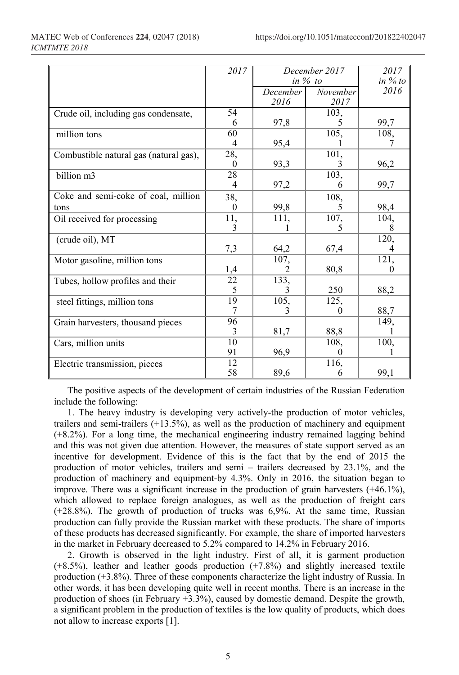|                                        | 2017            | December 2017      |          | 2017               |
|----------------------------------------|-----------------|--------------------|----------|--------------------|
|                                        |                 | in $\%$ to         |          | in $%$ to          |
|                                        |                 | December           | November | 2016               |
|                                        |                 | 2016               | 2017     |                    |
| Crude oil, including gas condensate,   | 54              |                    | 103,     |                    |
|                                        | 6               | 97,8               | 5        | 99,7               |
| million tons                           | $\overline{60}$ |                    | 105,     | 108,               |
|                                        | 4               | 95,4               |          |                    |
| Combustible natural gas (natural gas), | 28,             |                    | 101,     |                    |
|                                        | $\theta$        | 93,3               | 3        | 96,2               |
| billion m3                             | 28              |                    | 103,     |                    |
|                                        | 4               | 97,2               | 6        | 99,7               |
| Coke and semi-coke of coal, million    | 38,             |                    | 108,     |                    |
| tons                                   | $\theta$        | 99,8               | 5        | 98,4               |
| Oil received for processing            | 11,             | $\overline{111}$ , | 107,     | 104,               |
|                                        | 3               |                    | 5        |                    |
| (crude oil), MT                        |                 |                    |          | 120,               |
|                                        | 7,3             | 64,2               | 67,4     |                    |
| Motor gasoline, million tons           |                 | 107,               |          | $\overline{121}$ , |
|                                        | 1,4             |                    | 80,8     |                    |
| Tubes, hollow profiles and their       | $\overline{22}$ | 133,               |          |                    |
|                                        | 5               | 3                  | 250      | 88,2               |
| steel fittings, million tons           | 19              | $\overline{105}$   | 125,     |                    |
|                                        | 7               |                    | 0        | 88,7               |
| Grain harvesters, thousand pieces      | 96              |                    |          | 149,               |
|                                        | 3               | 81,7               | 88,8     |                    |
| Cars, million units                    | 10              |                    | 108,     | 100,               |
|                                        | 91              | 96,9               | $\Omega$ |                    |
| Electric transmission, pieces          | 12              |                    | 116,     |                    |
|                                        | 58              | 89,6               | 6        | 99,1               |

The positive aspects of the development of certain industries of the Russian Federation include the following:

1. The heavy industry is developing very actively-the production of motor vehicles, trailers and semi-trailers  $(+13.5%)$ , as well as the production of machinery and equipment (+8.2%). For a long time, the mechanical engineering industry remained lagging behind and this was not given due attention. However, the measures of state support served as an incentive for development. Evidence of this is the fact that by the end of 2015 the production of motor vehicles, trailers and semi – trailers decreased by 23.1%, and the production of machinery and equipment-by 4.3%. Only in 2016, the situation began to improve. There was a significant increase in the production of grain harvesters (+46.1%), which allowed to replace foreign analogues, as well as the production of freight cars (+28.8%). The growth of production of trucks was 6,9%. At the same time, Russian production can fully provide the Russian market with these products. The share of imports of these products has decreased significantly. For example, the share of imported harvesters in the market in February decreased to 5.2% compared to 14.2% in February 2016.

2. Growth is observed in the light industry. First of all, it is garment production (+8.5%), leather and leather goods production (+7.8%) and slightly increased textile production (+3.8%). Three of these components characterize the light industry of Russia. In other words, it has been developing quite well in recent months. There is an increase in the production of shoes (in February +3.3%), caused by domestic demand. Despite the growth, a significant problem in the production of textiles is the low quality of products, which does not allow to increase exports [1].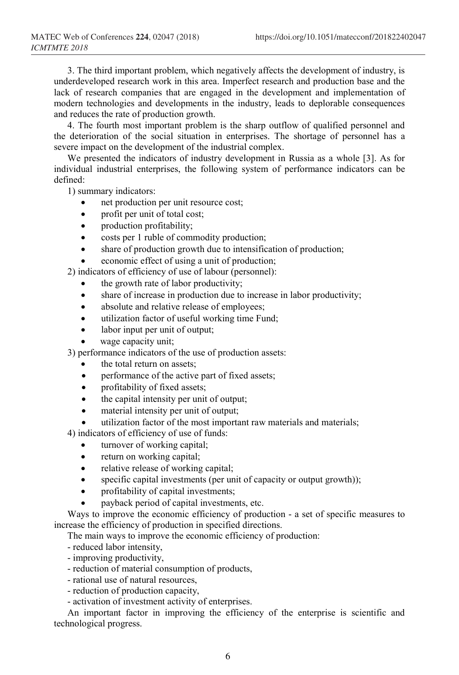3. The third important problem, which negatively affects the development of industry, is underdeveloped research work in this area. Imperfect research and production base and the lack of research companies that are engaged in the development and implementation of modern technologies and developments in the industry, leads to deplorable consequences and reduces the rate of production growth.

4. The fourth most important problem is the sharp outflow of qualified personnel and the deterioration of the social situation in enterprises. The shortage of personnel has a severe impact on the development of the industrial complex.

We presented the indicators of industry development in Russia as a whole [3]. As for individual industrial enterprises, the following system of performance indicators can be defined:

1) summary indicators:

- net production per unit resource cost;
- profit per unit of total cost;
- production profitability;
- costs per 1 ruble of commodity production;
- share of production growth due to intensification of production;
- economic effect of using a unit of production;

2) indicators of efficiency of use of labour (personnel):

- the growth rate of labor productivity;
- share of increase in production due to increase in labor productivity;
- absolute and relative release of employees;
- utilization factor of useful working time Fund;
- labor input per unit of output;
- wage capacity unit;

3) performance indicators of the use of production assets:

- the total return on assets;
- performance of the active part of fixed assets;
- profitability of fixed assets;
- the capital intensity per unit of output;
- material intensity per unit of output;
- utilization factor of the most important raw materials and materials;

4) indicators of efficiency of use of funds:

- turnover of working capital;
- return on working capital;
- relative release of working capital;
- specific capital investments (per unit of capacity or output growth));
- profitability of capital investments;
- payback period of capital investments, etc.

Ways to improve the economic efficiency of production - a set of specific measures to increase the efficiency of production in specified directions.

The main ways to improve the economic efficiency of production:

- reduced labor intensity,
- improving productivity,
- reduction of material consumption of products,
- rational use of natural resources,
- reduction of production capacity,
- activation of investment activity of enterprises.

An important factor in improving the efficiency of the enterprise is scientific and technological progress.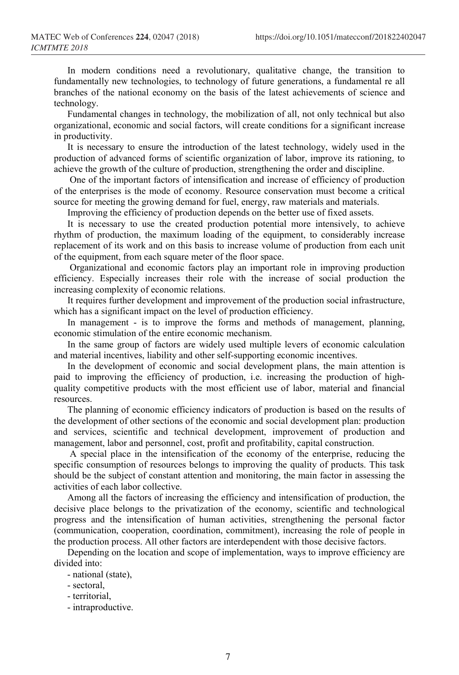In modern conditions need a revolutionary, qualitative change, the transition to fundamentally new technologies, to technology of future generations, a fundamental re all branches of the national economy on the basis of the latest achievements of science and technology.

Fundamental changes in technology, the mobilization of all, not only technical but also organizational, economic and social factors, will create conditions for a significant increase in productivity.

It is necessary to ensure the introduction of the latest technology, widely used in the production of advanced forms of scientific organization of labor, improve its rationing, to achieve the growth of the culture of production, strengthening the order and discipline.

One of the important factors of intensification and increase of efficiency of production of the enterprises is the mode of economy. Resource conservation must become a critical source for meeting the growing demand for fuel, energy, raw materials and materials.

Improving the efficiency of production depends on the better use of fixed assets.

It is necessary to use the created production potential more intensively, to achieve rhythm of production, the maximum loading of the equipment, to considerably increase replacement of its work and on this basis to increase volume of production from each unit of the equipment, from each square meter of the floor space.

Organizational and economic factors play an important role in improving production efficiency. Especially increases their role with the increase of social production the increasing complexity of economic relations.

It requires further development and improvement of the production social infrastructure, which has a significant impact on the level of production efficiency.

In management - is to improve the forms and methods of management, planning, economic stimulation of the entire economic mechanism.

In the same group of factors are widely used multiple levers of economic calculation and material incentives, liability and other self-supporting economic incentives.

In the development of economic and social development plans, the main attention is paid to improving the efficiency of production, i.e. increasing the production of highquality competitive products with the most efficient use of labor, material and financial resources.

The planning of economic efficiency indicators of production is based on the results of the development of other sections of the economic and social development plan: production and services, scientific and technical development, improvement of production and management, labor and personnel, cost, profit and profitability, capital construction.

A special place in the intensification of the economy of the enterprise, reducing the specific consumption of resources belongs to improving the quality of products. This task should be the subject of constant attention and monitoring, the main factor in assessing the activities of each labor collective.

Among all the factors of increasing the efficiency and intensification of production, the decisive place belongs to the privatization of the economy, scientific and technological progress and the intensification of human activities, strengthening the personal factor (communication, cooperation, coordination, commitment), increasing the role of people in the production process. All other factors are interdependent with those decisive factors.

Depending on the location and scope of implementation, ways to improve efficiency are divided into:

- national (state),

- territorial,
- intraproductive.

<sup>-</sup> sectoral,